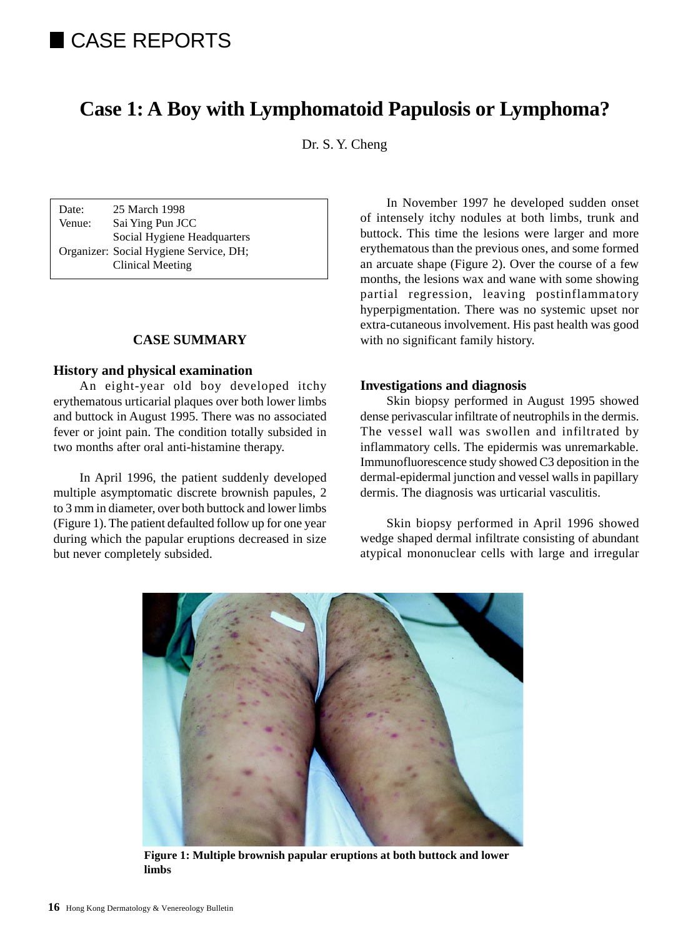# **Case 1: A Boy with Lymphomatoid Papulosis or Lymphoma?**

Dr. S. Y. Cheng

Date: 25 March 1998 Venue: Sai Ying Pun JCC Social Hygiene Headquarters Organizer: Social Hygiene Service, DH; Clinical Meeting

## **CASE SUMMARY**

#### **History and physical examination**

An eight-year old boy developed itchy erythematous urticarial plaques over both lower limbs and buttock in August 1995. There was no associated fever or joint pain. The condition totally subsided in two months after oral anti-histamine therapy.

In April 1996, the patient suddenly developed multiple asymptomatic discrete brownish papules, 2 to 3 mm in diameter, over both buttock and lower limbs (Figure 1). The patient defaulted follow up for one year during which the papular eruptions decreased in size but never completely subsided.

In November 1997 he developed sudden onset of intensely itchy nodules at both limbs, trunk and buttock. This time the lesions were larger and more erythematous than the previous ones, and some formed an arcuate shape (Figure 2). Over the course of a few months, the lesions wax and wane with some showing partial regression, leaving postinflammatory hyperpigmentation. There was no systemic upset nor extra-cutaneous involvement. His past health was good with no significant family history.

## **Investigations and diagnosis**

Skin biopsy performed in August 1995 showed dense perivascular infiltrate of neutrophils in the dermis. The vessel wall was swollen and infiltrated by inflammatory cells. The epidermis was unremarkable. Immunofluorescence study showed C3 deposition in the dermal-epidermal junction and vessel walls in papillary dermis. The diagnosis was urticarial vasculitis.

Skin biopsy performed in April 1996 showed wedge shaped dermal infiltrate consisting of abundant atypical mononuclear cells with large and irregular



**Figure 1: Multiple brownish papular eruptions at both buttock and lower limbs**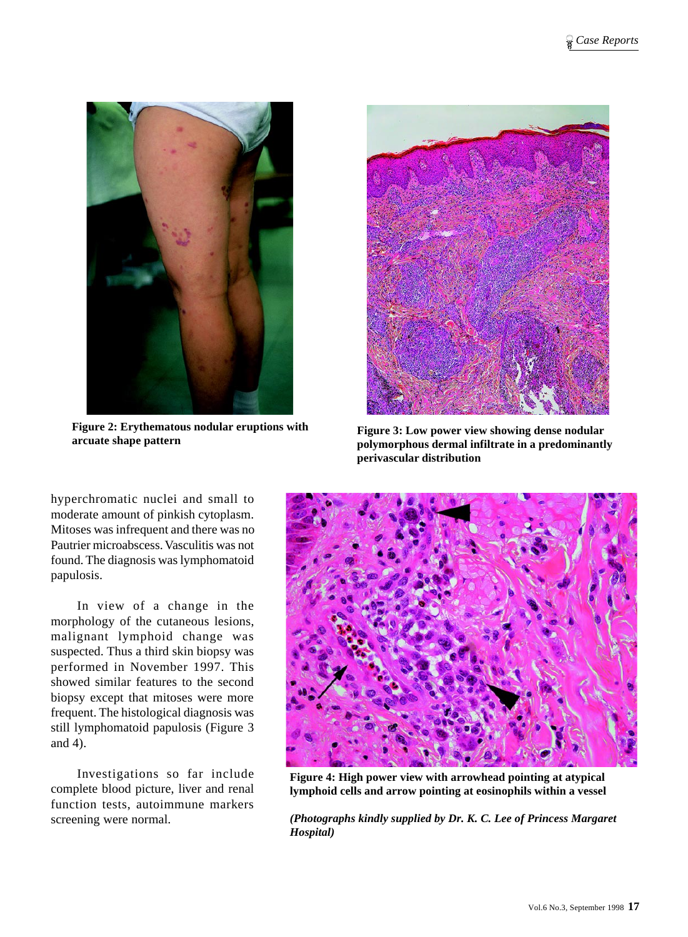

**Figure 2: Erythematous nodular eruptions with**



**Figure 2: Erythematous nodular eruptions with** Figure 3: Low power view showing dense nodular arcuate shape pattern<br> **Figure 3: Low power view showing dense nodular**<br> **Figure 3: Low power view showing dense nodular polymorphous dermal infiltrate in a predominantly perivascular distribution**

hyperchromatic nuclei and small to moderate amount of pinkish cytoplasm. Mitoses was infrequent and there was no Pautrier microabscess. Vasculitis was not found. The diagnosis was lymphomatoid papulosis.

In view of a change in the morphology of the cutaneous lesions, malignant lymphoid change was suspected. Thus a third skin biopsy was performed in November 1997. This showed similar features to the second biopsy except that mitoses were more frequent. The histological diagnosis was still lymphomatoid papulosis (Figure 3 and 4).

Investigations so far include complete blood picture, liver and renal function tests, autoimmune markers screening were normal.



**Figure 4: High power view with arrowhead pointing at atypical lymphoid cells and arrow pointing at eosinophils within a vessel**

*(Photographs kindly supplied by Dr. K. C. Lee of Princess Margaret Hospital)*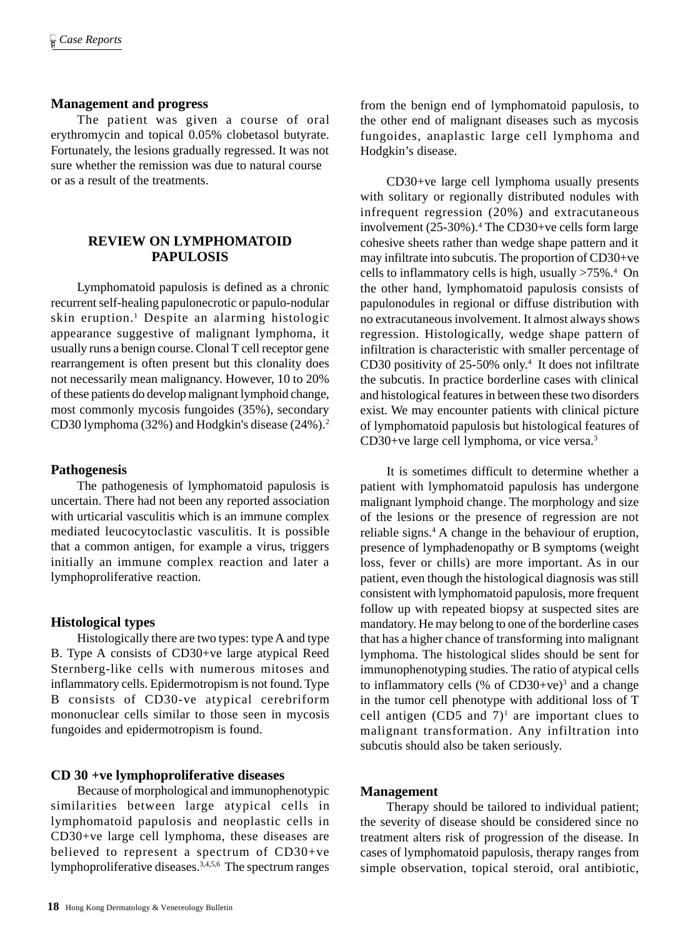#### **Management and progress**

The patient was given a course of oral erythromycin and topical 0.05% clobetasol butyrate. Fortunately, the lesions gradually regressed. It was not sure whether the remission was due to natural course or as a result of the treatments.

# **REVIEW ON LYMPHOMATOID PAPULOSIS**

Lymphomatoid papulosis is defined as a chronic recurrent self-healing papulonecrotic or papulo-nodular skin eruption.<sup>1</sup> Despite an alarming histologic appearance suggestive of malignant lymphoma, it usually runs a benign course. Clonal T cell receptor gene rearrangement is often present but this clonality does not necessarily mean malignancy. However, 10 to 20% of these patients do develop malignant lymphoid change, most commonly mycosis fungoides (35%), secondary CD30 lymphoma (32%) and Hodgkin's disease  $(24\%)$ .<sup>2</sup>

#### **Pathogenesis**

The pathogenesis of lymphomatoid papulosis is uncertain. There had not been any reported association with urticarial vasculitis which is an immune complex mediated leucocytoclastic vasculitis. It is possible that a common antigen, for example a virus, triggers initially an immune complex reaction and later a lymphoproliferative reaction.

#### **Histological types**

Histologically there are two types: type A and type B. Type A consists of CD30+ve large atypical Reed Sternberg-like cells with numerous mitoses and inflammatory cells. Epidermotropism is not found. Type B consists of CD30-ve atypical cerebriform mononuclear cells similar to those seen in mycosis fungoides and epidermotropism is found.

#### **CD 30 +ve lymphoproliferative diseases**

Because of morphological and immunophenotypic similarities between large atypical cells in lymphomatoid papulosis and neoplastic cells in CD30+ve large cell lymphoma, these diseases are believed to represent a spectrum of CD30+ve lymphoproliferative diseases.3,4,5,6 The spectrum ranges

from the benign end of lymphomatoid papulosis, to the other end of malignant diseases such as mycosis fungoides, anaplastic large cell lymphoma and Hodgkin's disease.

CD30+ve large cell lymphoma usually presents with solitary or regionally distributed nodules with infrequent regression (20%) and extracutaneous involvement (25-30%).<sup>4</sup> The CD30+ve cells form large cohesive sheets rather than wedge shape pattern and it may infiltrate into subcutis. The proportion of CD30+ve cells to inflammatory cells is high, usually >75%.4 On the other hand, lymphomatoid papulosis consists of papulonodules in regional or diffuse distribution with no extracutaneous involvement. It almost always shows regression. Histologically, wedge shape pattern of infiltration is characteristic with smaller percentage of CD30 positivity of 25-50% only.4 It does not infiltrate the subcutis. In practice borderline cases with clinical and histological features in between these two disorders exist. We may encounter patients with clinical picture of lymphomatoid papulosis but histological features of CD30+ve large cell lymphoma, or vice versa.3

It is sometimes difficult to determine whether a patient with lymphomatoid papulosis has undergone malignant lymphoid change. The morphology and size of the lesions or the presence of regression are not reliable signs.<sup>4</sup> A change in the behaviour of eruption, presence of lymphadenopathy or B symptoms (weight loss, fever or chills) are more important. As in our patient, even though the histological diagnosis was still consistent with lymphomatoid papulosis, more frequent follow up with repeated biopsy at suspected sites are mandatory. He may belong to one of the borderline cases that has a higher chance of transforming into malignant lymphoma. The histological slides should be sent for immunophenotyping studies. The ratio of atypical cells to inflammatory cells (% of  $CD30+ve)^3$  and a change in the tumor cell phenotype with additional loss of T cell antigen  $(CD5$  and  $7)^1$  are important clues to malignant transformation. Any infiltration into subcutis should also be taken seriously.

## **Management**

Therapy should be tailored to individual patient; the severity of disease should be considered since no treatment alters risk of progression of the disease. In cases of lymphomatoid papulosis, therapy ranges from simple observation, topical steroid, oral antibiotic,